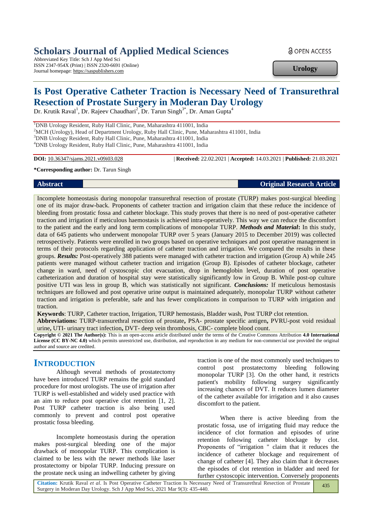# **Scholars Journal of Applied Medical Sciences**

Abbreviated Key Title: Sch J App Med Sci ISSN 2347-954X (Print) | ISSN 2320-6691 (Online) Journal homepage: https://saspublishers.com

**a** OPEN ACCESS

**Urology**

# **Is Post Operative Catheter Traction is Necessary Need of Transurethral Resection of Prostate Surgery in Moderan Day Urology**

Dr. Krutik Raval<sup>1</sup>, Dr. Rajeev Chaudhari<sup>2</sup>, Dr. Tarun Singh<sup>3\*</sup>, Dr. Aman Gupta<sup>4</sup>

<sup>1</sup>DNB Urology Resident, Ruby Hall Clinic, Pune, Maharashtra 411001, India <sup>2</sup>MCH (Urology), Head of Department Urology, Ruby Hall Clinic, Pune, Maharashtra 411001, India <sup>3</sup>DNB Urology Resident, Ruby Hall Clinic, Pune, Maharashtra 411001, India <sup>4</sup>DNB Urology Resident, Ruby Hall Clinic, Pune, Maharashtra 411001, India

**DOI:** 10.36347/sjams.2021.v09i03.028 | **Received:** 22.02.2021 | **Accepted:** 14.03.2021 | **Published:** 21.03.2021

#### **\*Corresponding author:** Dr. Tarun Singh

## **Abstract Original Research Article**

Incomplete homeostasis during monopolar transurethral resection of prostate (TURP) makes post-surgical bleeding one of its major draw-back. Proponents of catheter traction and irrigation claim that these reduce the incidence of bleeding from prostatic fossa and catheter blockage. This study proves that there is no need of post-operative catheter traction and irrigation if meticulous haemostasis is achieved intra-operatively. This way we can reduce the discomfort to the patient and the early and long term complications of monopolar TURP. *Methods and Material***:** In this study, data of 645 patients who underwent monopolar TURP over 5 years (January 2015 to December 2019) was collected retrospectively. Patients were enrolled in two groups based on operative techniques and post operative management in terms of their protocols regarding application of catheter traction and irrigation. We compared the results in these groups. *Results:* Post-operatively 388 patients were managed with catheter traction and irrigation (Group A) while 245 patients were managed without catheter traction and irrigation (Group B). Episodes of catheter blockage, catheter change in ward, need of cystoscopic clot evacuation, drop in hemoglobin level, duration of post operative catheterization and duration of hospital stay were statistically significantly low in Group B. While post-op culture positive UTI was less in group B, which was statistically not significant. *Conclusions:* If meticulous hemostasis techniques are followed and post operative urine output is maintained adequately, monopolar TURP without catheter traction and irrigation is preferable, safe and has fewer complications in comparison to TURP with irrigation and traction.

**Keywords**: TURP, Catheter traction, Irrigation, TURP hemostasis, Bladder wash, Post TURP clot retention.

**Abbreviations:** TURP-transurethral resection of prostate**,** PSA- prostate specific antigen**,** PVRU-post void residual urine**,** UTI- urinary tract infection**,** DVT- deep vein thrombosis, CBC- complete blood count.

**Copyright © 2021 The Author(s):** This is an open-access article distributed under the terms of the Creative Commons Attribution **4.0 International License (CC BY-NC 4.0)** which permits unrestricted use, distribution, and reproduction in any medium for non-commercial use provided the original author and source are credited.

# **INTRODUCTION**

Although several methods of prostatectomy have been introduced TURP remains the gold standard procedure for most urologists. The use of irrigation after TURP is well-established and widely used practice with an aim to reduce post operative clot retention [1, 2]. Post TURP catheter traction is also being used commonly to prevent and control post operative prostatic fossa bleeding.

Incomplete homeostasis during the operation makes post-surgical bleeding one of the major drawback of monopolar TURP. This complication is claimed to be less with the newer methods like laser prostatectomy or bipolar TURP. Inducing pressure on the prostate neck using an indwelling catheter by giving

traction is one of the most commonly used techniques to control post prostatectomy bleeding following monopolar TURP [3]. On the other hand, it restricts patient's mobility following surgery significantly increasing chances of DVT. It reduces lumen diameter of the catheter available for irrigation and it also causes discomfort to the patient.

When there is active bleeding from the prostatic fossa, use of irrigating fluid may reduce the incidence of clot formation and episodes of urine retention following catheter blockage by clot. Proponents of "irrigation " claim that it reduces the incidence of catheter blockage and requirement of change of catheter [4]. They also claim that it decreases the episodes of clot retention in bladder and need for further cystoscopic intervention. Conversely proponents

**Citation:** Krutik Raval *et al*. Is Post Operative Catheter Traction Is Necessary Need of Transurethral Resection of Prostate Surgery in Moderan Day Urology. Sch J App Med Sci, 2021 Mar 9(3): 435-440. 435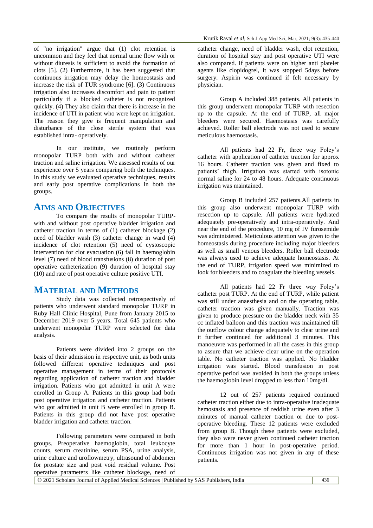of "no irrigation" argue that (1) clot retention is uncommon and they feel that normal urine flow with or without diuresis is sufficient to avoid the formation of clots [5]. (2) Furthermore, it has been suggested that continuous irrigation may delay the homeostasis and increase the risk of TUR syndrome [6]. (3) Continuous irrigation also increases discomfort and pain to patient particularly if a blocked catheter is not recognized quickly. (4) They also claim that there is increase in the incidence of UTI in patient who were kept on irrigation. The reason they give is frequent manipulation and disturbance of the close sterile system that was established intra- operatively.

In our institute, we routinely perform monopolar TURP both with and without catheter traction and saline irrigation. We assessed results of our experience over 5 years comparing both the techniques. In this study we evaluated operative techniques, results and early post operative complications in both the groups.

# **AIMS AND OBJECTIVES**

To compare the results of monopolar TURPwith and without post operative bladder irrigation and catheter traction in terms of (1) catheter blockage (2) need of bladder wash (3) catheter change in ward (4) incidence of clot retention (5) need of cystoscopic intervention for clot evacuation (6) fall in haemoglobin level (7) need of blood transfusions (8) duration of post operative catheterization (9) duration of hospital stay (10) and rate of post operative culture positive UTI.

# **MATERIAL AND METHODS**

Study data was collected retrospectively of patients who underwent standard monopolar TURP in Ruby Hall Clinic Hospital, Pune from January 2015 to December 2019 over 5 years. Total 645 patients who underwent monopolar TURP were selected for data analysis.

Patients were divided into 2 groups on the basis of their admission in respective unit, as both units followed different operative techniques and post operative management in terms of their protocols regarding application of catheter traction and bladder irrigation. Patients who got admitted in unit A were enrolled in Group A. Patients in this group had both post operative irrigation and catheter traction. Patients who got admitted in unit B were enrolled in group B. Patients in this group did not have post operative bladder irrigation and catheter traction.

Following parameters were compared in both groups. Preoperative haemoglobin, total leukocyte counts, serum creatinine, serum PSA, urine analysis, urine culture and uroflowmetry, ultrasound of abdomen for prostate size and post void residual volume. Post operative parameters like catheter blockage, need of

catheter change, need of bladder wash, clot retention, duration of hospital stay and post operative UTI were also compared. If patients were on higher anti platelet agents like clopidogrel, it was stopped 5days before surgery. Aspirin was continued if felt necessary by physician.

Group A included 388 patients. All patients in this group underwent monopolar TURP with resection up to the capsule. At the end of TURP, all major bleeders were secured. Haemostasis was carefully achieved. Roller ball electrode was not used to secure meticulous haemostasis.

All patients had 22 Fr, three way Foley's catheter with application of catheter traction for approx 16 hours. Catheter traction was given and fixed to patients' thigh. Irrigation was started with isotonic normal saline for 24 to 48 hours. Adequate continuous irrigation was maintained.

Group B included 257 patients.All patients in this group also underwent monopolar TURP with resection up to capsule. All patients were hydrated adequately pre-operatively and intra-operatively. And near the end of the procedure, 10 mg of IV furosemide was administered. Meticulous attention was given to the homeostasis during procedure including major bleeders as well as small venous bleeders. Roller ball electrode was always used to achieve adequate homeostasis. At the end of TURP, irrigation speed was minimized to look for bleeders and to coagulate the bleeding vessels.

All patients had 22 Fr three way Foley's catheter post TURP. At the end of TURP, while patient was still under anaesthesia and on the operating table, catheter traction was given manually. Traction was given to produce pressure on the bladder neck with 35 cc inflated balloon and this traction was maintained till the outflow colour change adequately to clear urine and it further continued for additional 3 minutes. This manoeuvre was performed in all the cases in this group to assure that we achieve clear urine on the operation table. No catheter traction was applied. No bladder irrigation was started. Blood transfusion in post operative period was avoided in both the groups unless the haemoglobin level dropped to less than 10mg/dl.

12 out of 257 patients required continued catheter traction either due to intra-operative inadequate hemostasis and presence of reddish urine even after 3 minutes of manual catheter traction or due to postoperative bleeding. These 12 patients were excluded from group B. Though these patients were excluded, they also were never given continued catheter traction for more than 1 hour in post-operative period. Continuous irrigation was not given in any of these patients.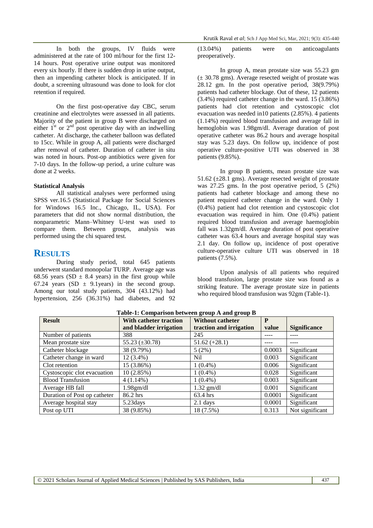In both the groups, IV fluids were administered at the rate of 100 ml/hour for the first 12- 14 hours. Post operative urine output was monitored every six hourly. If there is sudden drop in urine output, then an impending catheter block is anticipated. If in doubt, a screening ultrasound was done to look for clot retention if required.

On the first post-operative day CBC, serum creatinine and electrolytes were assessed in all patients. Majority of the patient in group B were discharged on either  $1<sup>st</sup>$  or  $2<sup>nd</sup>$  post operative day with an indwelling catheter. At discharge, the catheter balloon was deflated to 15cc. While in group A, all patients were discharged after removal of catheter. Duration of catheter in situ was noted in hours. Post-op antibiotics were given for 7-10 days. In the follow-up period, a urine culture was done at 2 weeks.

#### **Statistical Analysis**

All statistical analyses were performed using SPSS ver.16.5 (Statistical Package for Social Sciences for Windows 16.5 Inc., Chicago, IL, USA). For parameters that did not show normal distribution, the nonparametric Mann–Whitney U-test was used to compare them. Between groups, analysis was performed using the chi squared test.

## **RESULTS**

During study period, total 645 patients underwent standard monopolar TURP. Average age was 68.56 years (SD  $\pm$  8.4 years) in the first group while 67.24 years (SD  $\pm$  9.1 years) in the second group. Among our total study patients, 304 (43.12%) had hypertension, 256 (36.31%) had diabetes, and 92

(13.04%) patients were on anticoagulants preoperatively.

In group A, mean prostate size was 55.23 gm  $(\pm 30.78$  gms). Average resected weight of prostate was 28.12 gm. In the post operative period, 38(9.79%) patients had catheter blockage. Out of these, 12 patients  $(3.4\%)$  required catheter change in the ward. 15  $(3.86\%)$ patients had clot retention and cystoscopic clot evacuation was needed in 10 patients  $(2.85\%)$ . 4 patients (1.14%) required blood transfusion and average fall in hemoglobin was 1.98gm/dl. Average duration of post operative catheter was 86.2 hours and average hospital stay was 5.23 days. On follow up, incidence of post operative culture-positive UTI was observed in 38 patients (9.85%).

In group B patients, mean prostate size was 51.62 (±28.1 gms). Average resected weight of prostate was 27.25 gms. In the post operative period, 5 (2%) patients had catheter blockage and among these no patient required catheter change in the ward. Only 1 (0.4%) patient had clot retention and cystoscopic clot evacuation was required in him. One (0.4%) patient required blood transfusion and average haemoglobin fall was 1.32gm/dl. Average duration of post operative catheter was 63.4 hours and average hospital stay was 2.1 day. On follow up, incidence of post operative culture-operative culture UTI was observed in 18 patients (7.5%).

Upon analysis of all patients who required blood transfusion, large prostate size was found as a striking feature. The average prostate size in patients who required blood transfusion was 92gm (Table-1).

| <b>Result</b>                | With catheter traction | <b>Without catheter</b> | P      |                     |
|------------------------------|------------------------|-------------------------|--------|---------------------|
|                              | and bladder irrigation | traction and irrigation | value  | <b>Significance</b> |
| Number of patients           | 388                    | 245                     |        |                     |
| Mean prostate size           | 55.23 $(\pm 30.78)$    | $51.62 (+28.1)$         |        |                     |
| Catheter blockage            | 38 (9.79%)             | 5(2%)                   | 0.0003 | Significant         |
| Catheter change in ward      | $12(3.4\%)$            | Nil                     | 0.003  | Significant         |
| Clot retention               | 15 (3.86%)             | $1(0.4\%)$              | 0.006  | Significant         |
| Cystoscopic clot evacuation  | 10(2.85%)              | $1(0.4\%)$              | 0.028  | Significant         |
| <b>Blood Transfusion</b>     | $4(1.14\%)$            | $1(0.4\%)$              | 0.003  | Significant         |
| Average HB fall              | $1.98$ gm/dl           | $1.32$ gm/dl            | 0.001  | Significant         |
| Duration of Post op catheter | 86.2 hrs               | 63.4 hrs                | 0.0001 | Significant         |
| Average hospital stay        | 5.23 days              | $2.1$ days              | 0.0001 | Significant         |
| Post op UTI                  | 38 (9.85%)             | 18 (7.5%)               | 0.313  | Not significant     |

**Table-1: Comparison between group A and group B**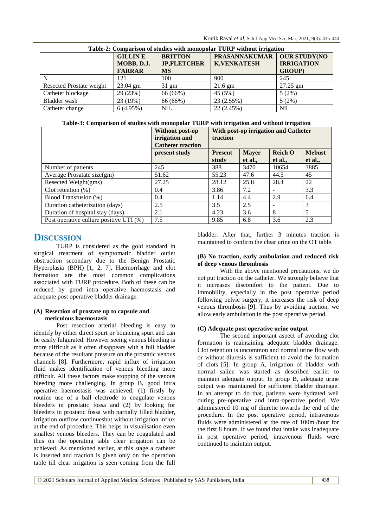| Table-2: Comparison of studies with monopolar TURP without irrigation |                    |                    |                      |                     |  |  |  |  |
|-----------------------------------------------------------------------|--------------------|--------------------|----------------------|---------------------|--|--|--|--|
|                                                                       | <b>GILLIN E</b>    | <b>BRITTON</b>     | <b>PRASANNAKUMAR</b> | <b>OUR STUDY(NO</b> |  |  |  |  |
|                                                                       | MOBB, D.J.         | <b>JP,FLETCHER</b> | <b>K, VENKATESH</b>  | <b>IRRIGATION</b>   |  |  |  |  |
|                                                                       | <b>FARRAR</b>      | <b>MS</b>          |                      | <b>GROUP</b> )      |  |  |  |  |
|                                                                       | 121                | 100                | 900                  | 245                 |  |  |  |  |
| Resected Prostate weight                                              | $23.04 \text{ gm}$ | $31 \text{ gm}$    | $21.6$ gm            | $27.25$ gm          |  |  |  |  |
| Catheter blockage                                                     | 29(23%)            | 66 (66%)           | 45 (5%)              | 5(2%)               |  |  |  |  |
| Bladder wash                                                          | 23 (19%)           | 66 (66%)           | 23 (2.55%)           | 5(2%)               |  |  |  |  |
| Catheter change                                                       | 6(4.95%)           | <b>NIL</b>         | 22(2.45%)            | N <sub>il</sub>     |  |  |  |  |

**Table-3: Comparison of studies with monopolar TURP with irrigation and without irrigation**

|                                         | Without post-op<br>irrigation and<br><b>Catheter traction</b> | With post-op irrigation and Catheter<br>traction |                         |                           |                          |
|-----------------------------------------|---------------------------------------------------------------|--------------------------------------------------|-------------------------|---------------------------|--------------------------|
|                                         | present study                                                 | <b>Present</b><br>study                          | <b>Mayer</b><br>et al., | <b>Reich O</b><br>et al., | <b>Mebust</b><br>et al., |
| Number of patients                      | 245                                                           | 388                                              | 3470                    | 10654                     | 3885                     |
| Average Prosatate size(gm)              | 51.62                                                         | 55.23                                            | 47.6                    | 44.5                      | 45                       |
| Resected Weight(gms)                    | 27.25                                                         | 28.12                                            | 25.8                    | 28.4                      | 22                       |
| Clot retention $(\%)$                   | 0.4                                                           | 3.86                                             | 7.2                     |                           | 3.3                      |
| Blood Transfusion (%)                   | 0.4                                                           | 1.14                                             | 4.4                     | 2.9                       | 6.4                      |
| Duration catheterization (days)         | 2.5                                                           | 3.5                                              | 2.5                     |                           | 3                        |
| Duration of hospital stay (days)        | 2.1                                                           | 4.23                                             | 3.6                     | 8                         | 5                        |
| Post operative culture positive UTI (%) | 7.5                                                           | 9.85                                             | 6.8                     | 3.6                       | 2.3                      |

# **DISCUSSION**

TURP is considered as the gold standard in surgical treatment of symptomatic bladder outlet obstruction secondary due to the Benign Prostatic Hyperplasia (BPH) [1, 2, 7]. Haemorrhage and clot formation are the most common complications associated with TURP procedure. Both of these can be reduced by good intra operative haemostasis and adequate post operative bladder drainage.

#### **(A) Resection of prostate up to capsule and meticulous haemostasis**

Post resection arterial bleeding is easy to identify by either direct spurt or bouncing spurt and can be easily fulgurated. However seeing venous bleeding is more difficult as it often disappears with a full bladder because of the resultant pressure on the prostatic venous channels [8]. Furthermore, rapid influx of irrigation fluid makes identification of venous bleeding more difficult. All these factors make stopping of the venous bleeding more challenging. In group B, good intra operative haemostasis was achieved; (1) firstly by routine use of a ball electrode to coagulate venous bleeders in prostatic fossa and (2) by looking for bleeders in prostatic fossa with partially filled bladder, irrigation outflow continuesbut without irrigation influx at the end of procedure. This helps in visualisation even smallest venous bleeders. They can be coagulated and thus on the operating table clear irrigation can be achieved. As mentioned earlier, at this stage a catheter is inserted and traction is given only on the operation table till clear irrigation is seen coming from the full

bladder. After that, further 3 minutes traction is maintained to confirm the clear urine on the OT table.

#### **(B) No traction, early ambulation and reduced risk of deep venous thrombosis**

With the above mentioned precautions, we do not put traction on the catheter. We strongly believe that it increases discomfort to the patient. Due to immobility, especially in the post operative period following pelvic surgery, it increases the risk of deep venous thrombosis [9]. Thus by avoiding traction, we allow early ambulation in the post operative period.

### **(C) Adequate post operative urine output**

The second important aspect of avoiding clot formation is maintaining adequate bladder drainage. Clot retention is uncommon and normal urine flow with or without diuresis is sufficient to avoid the formation of clots [5]. In group A, irrigation of bladder with normal saline was started as described earlier to maintain adequate output. In group B, adequate urine output was maintained for sufficient bladder drainage. In an attempt to do that, patients were hydrated well during pre-operative and intra-operative period. We administered 10 mg of diuretic towards the end of the procedure. In the post operative period, intravenous fluids were administered at the rate of 100ml/hour for the first 8 hours. If we found that intake was inadequate in post operative period, intravenous fluids were continued to maintain output.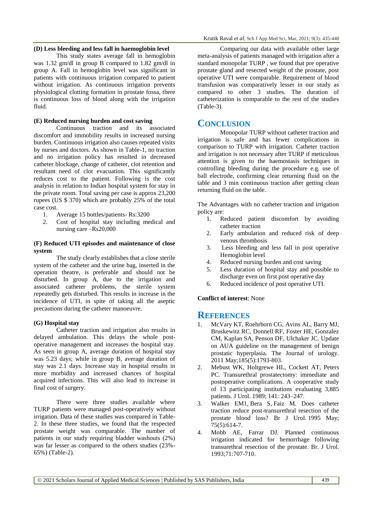This study states average fall in hemoglobin was 1.32 gm/dl in group B compared to 1.82 gm/dl in group A. Fall in hemoglobin level was significant in patients with continuous irrigation compared to patient without irrigation. As continuous irrigation prevents physiological clotting formation in prostate fossa, there is continuous loss of blood along with the irrigation fluid.

#### **(E) Reduced nursing burden and cost saving**

Continuous traction and its associated discomfort and immobility results in increased nursing burden. Continuous irrigation also causes repeated visits by nurses and doctors. As shown in Table-1, no traction and no irrigation policy has resulted in decreased catheter blockage, change of catheter, clot retention and resultant need of clot evacuation. This significantly reduces cost to the patient. Following is the cost analysis in relation to Indian hospital system for stay in the private room. Total saving per case is approx 23,200 rupees (US \$ 370) which are probably 25% of the total case cost.

- 1. Average 15 bottles/patients- Rs:3200
- 2. Cost of hospital stay including medical and nursing care –Rs20,000

#### **(F) Reduced UTI episodes and maintenance of close system**

The study clearly establishes that a close sterile system of the catheter and the urine bag, inserted in the operation theatre, is preferable and should not be disturbed. In group A, due to the irrigation and associated catheter problems, the sterile system repeatedly gets disturbed. This results in increase in the incidence of UTI, in spite of taking all the aseptic precautions during the catheter manoeuvre.

#### **(G) Hospital stay**

Catheter traction and irrigation also results in delayed ambulation. This delays the whole postoperative management and increases the hospital stay. As seen in group A, average duration of hospital stay was 5.23 days; while in group B, average duration of stay was 2.1 days. Increase stay in hospital results in more morbidity and increased chances of hospital acquired infections. This will also lead to increase in final cost of surgery.

There were three studies available where TURP patients were managed post-operatively without irrigation. Data of these studies was compared in Table-2. In these three studies, we found that the respected prostate weight was comparable. The number of patients in our study requiring bladder washouts (2%) was far lesser as compared to the others studies (23%- 65%) (Table-2).

Comparing our data with available other large meta-analysis of patients managed with irrigation after a standard monopolar TURP , we found that pre operative prostate gland and resected weight of the prostate, post operative UTI were comparable. Requirement of blood transfusion was comparatively lesser in our study as compared to other 3 studies. The duration of catheterization is comparable to the rest of the studies (Table-3).

## **CONCLUSION**

Monopolar TURP without catheter traction and irrigation is safe and has fewer complications in comparison to TURP with irrigation. Catheter traction and irrigation is not necessary after TURP if meticulous attention is given to the haemostasis techniques in controlling bleeding during the procedure e.g. use of ball electrode, confirming clear returning fluid on the table and 3 min continuous traction after getting clean returning fluid on the table.

The Advantages with no catheter traction and irrigation policy are:

- 1. Reduced patient discomfort by avoiding catheter traction
- 2. Early ambulation and reduced risk of deep venous thrombosis
- 3. Less bleeding and less fall in post operative Hemoglobin level
- 4. Reduced nursing burden and cost saving
- 5. Less duration of hospital stay and possible to discharge even on first post operative day
- 6. Reduced incidence of post operative UTI.

### **Conflict of interest**: None

## **REFERENCES**

- 1. McVary KT, Roehrborn CG, Avins AL, Barry MJ, Bruskewitz RC, Donnell RF, Foster HE, Gonzalez CM, Kaplan SA, Penson DF, Ulchaker JC. Update on AUA guideline on the management of benign prostatic hyperplasia. The Journal of urology. 2011 May;185(5):1793-803.
- 2. Mebust WK, Holtgrewe HL, Cockett AT, Peters PC. Transurethral prostatectomy: immediate and postoperative complications. A cooperative study of 13 participating institutions evaluating 3,885 patients. J Urol. 1989; 141: 243–247.
- 3. [Walker EM1](https://www.ncbi.nlm.nih.gov/pubmed/?term=Walker%20EM%5BAuthor%5D&cauthor=true&cauthor_uid=7613799), [Bera S,](https://www.ncbi.nlm.nih.gov/pubmed/?term=Bera%20S%5BAuthor%5D&cauthor=true&cauthor_uid=7613799) [Faiz M.](https://www.ncbi.nlm.nih.gov/pubmed/?term=Faiz%20M%5BAuthor%5D&cauthor=true&cauthor_uid=7613799) Does catheter traction reduce post-transurethral resection of the prostate blood loss? [Br J Urol.](https://www.ncbi.nlm.nih.gov/pubmed/7613799) 1995 May; 75(5):614-7.
- 4. Mobb AE, Farrar DJ. Planned continuous irrigation indicated for hemorrhage following transurethral resection of the prostate. Br. J Urol. 1993;71:707-710.